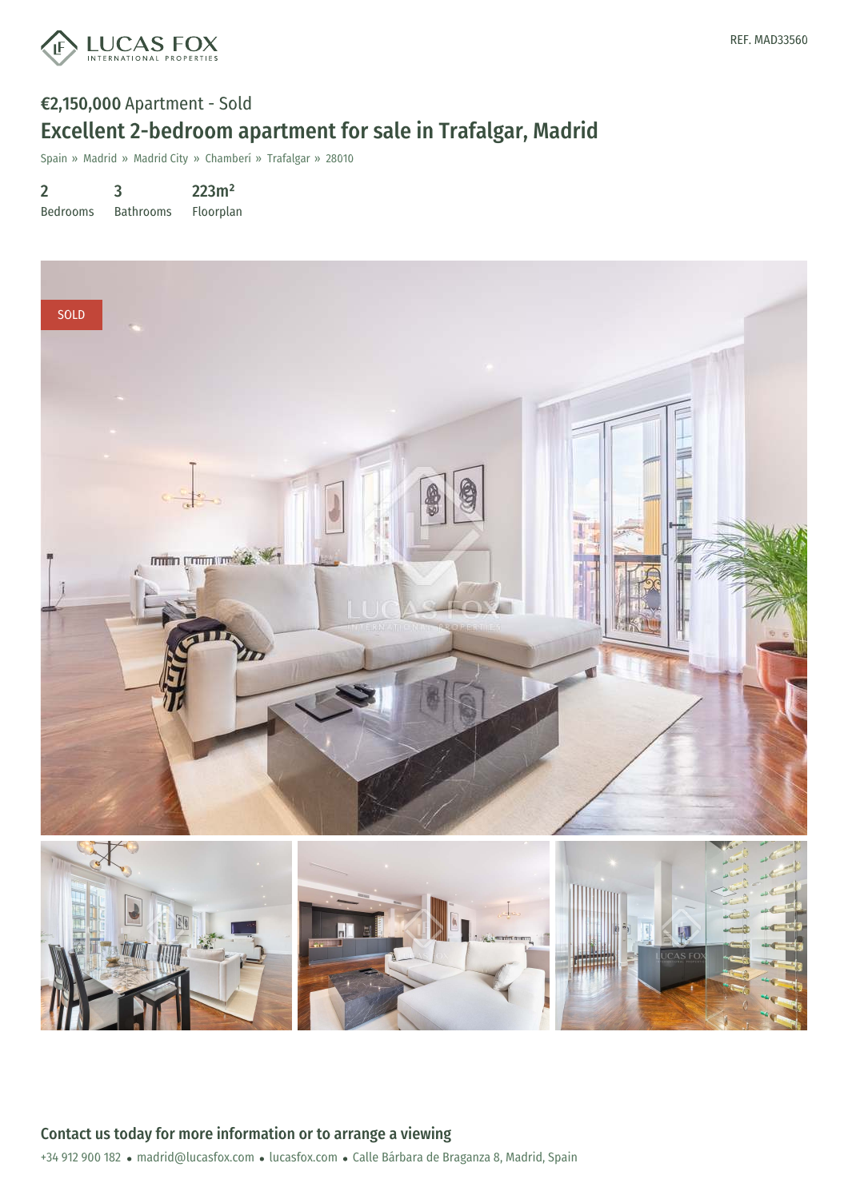

# €2,150,000 Apartment - Sold Excellent 2-bedroom apartment for sale in Trafalgar, Madrid

Spain » Madrid » Madrid City » Chamberí » Trafalgar » 28010

2 Bedrooms 3 Bathrooms 223m² Floorplan

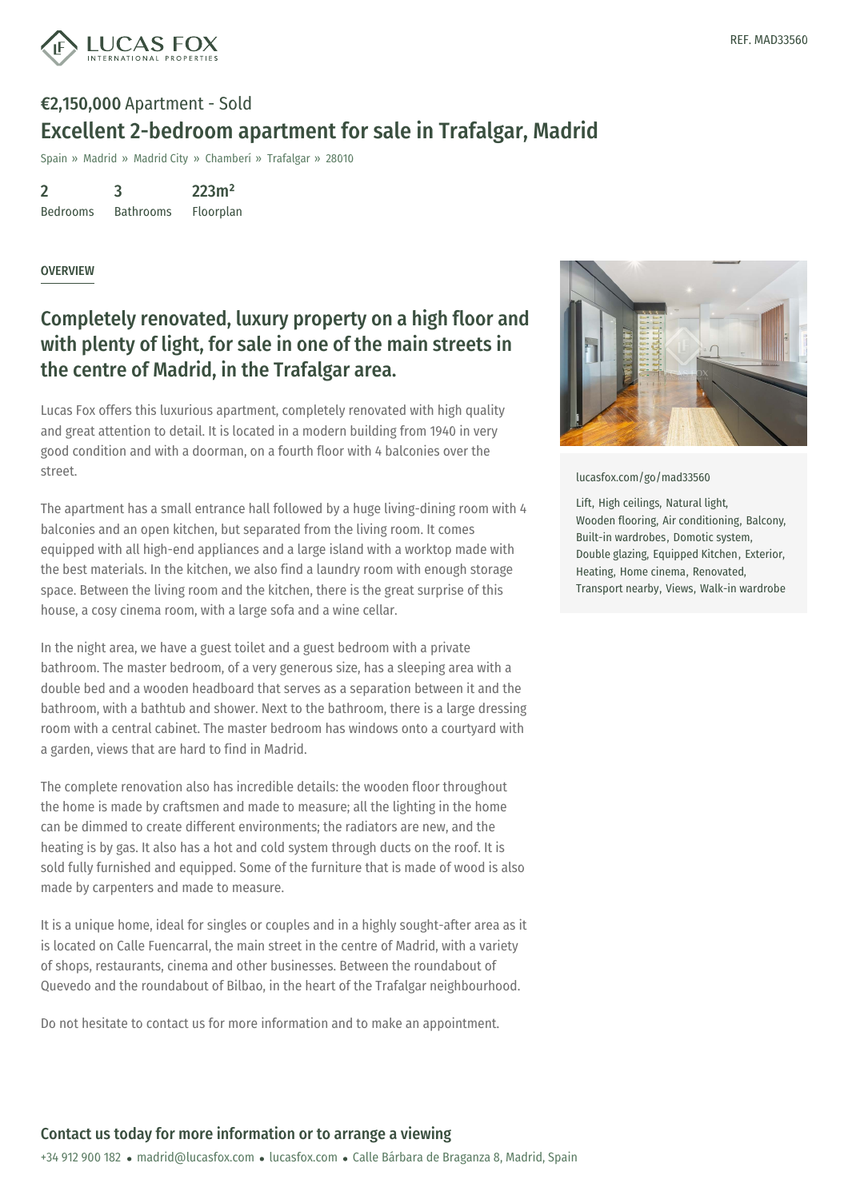

# €2,150,000 Apartment - Sold Excellent 2-bedroom apartment for sale in Trafalgar, Madrid

Spain » Madrid » Madrid City » Chamberí » Trafalgar » 28010

2 Bedrooms 3 Bathrooms 223m² Floorplan

#### **OVERVIEW**

### Completely renovated, luxury property on a high floor and with plenty of light, for sale in one of the main streets in the centre of Madrid, in the Trafalgar area.

Lucas Fox offers this luxurious apartment, completely renovated with high quality and great attention to detail. It is located in a modern building from 1940 in very good condition and with a doorman, on a fourth floor with 4 balconies over the street.

The apartment has a small entrance hall followed by a huge living-dining room with 4 balconies and an open kitchen, but separated from the living room. It comes equipped with all high-end appliances and a large island with a worktop made with the best materials. In the kitchen, we also find a laundry room with enough storage space. Between the living room and the kitchen, there is the great surprise of this house, a cosy cinema room, with a large sofa and a wine cellar.

In the night area, we have a guest toilet and a guest bedroom with a private bathroom. The master bedroom, of a very generous size, has a sleeping area with a double bed and a wooden headboard that serves as a separation between it and the bathroom, with a bathtub and shower. Next to the bathroom, there is a large dressing room with a central cabinet. The master bedroom has windows onto a courtyard with a garden, views that are hard to find in Madrid.

The complete renovation also has incredible details: the wooden floor throughout the home is made by craftsmen and made to measure; all the lighting in the home can be dimmed to create different environments; the radiators are new, and the heating is by gas. It also has a hot and cold system through ducts on the roof. It is sold fully furnished and equipped. Some of the furniture that is made of wood is also made by carpenters and [made](mailto:madrid@lucasfox.com) to meas[ure.](https://www.lucasfox.com)

It is a unique home, ideal for singles or couples and in a highly sought-after area as it is located on Calle Fuencarral, the main street in the centre of Madrid, with a variety of shops, restaurants, cinema and other businesses. Between the roundabout of Quevedo and the roundabout of Bilbao, in the heart of the Trafalgar neighbourhood.

Do not hesitate to contact us for more information and to make an appointment.



[lucasfox.com/go/mad33560](https://www.lucasfox.com/go/mad33560)

Lift, High ceilings, Natural light, Wooden flooring, Air conditioning, Balcony, Built-in wardrobes, Domotic system, Double glazing, Equipped Kitchen, Exterior, Heating, Home cinema, Renovated, Transport nearby, Views, Walk-in wardrobe